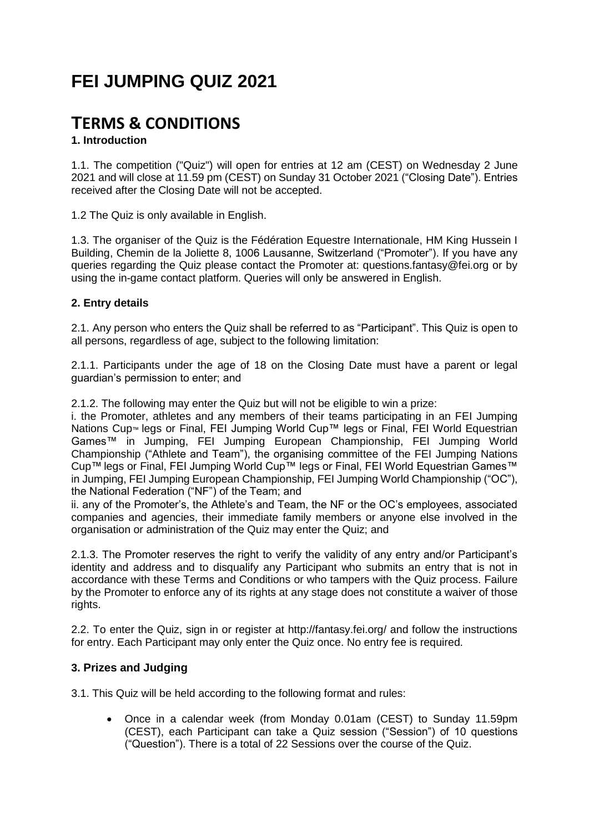# **FEI JUMPING QUIZ 2021**

## **TERMS & CONDITIONS**

## **1. Introduction**

1.1. The competition ("Quiz") will open for entries at 12 am (CEST) on Wednesday 2 June 2021 and will close at 11.59 pm (CEST) on Sunday 31 October 2021 ("Closing Date"). Entries received after the Closing Date will not be accepted.

1.2 The Quiz is only available in English.

1.3. The organiser of the Quiz is the Fédération Equestre Internationale, HM King Hussein I Building, Chemin de la Joliette 8, 1006 Lausanne, Switzerland ("Promoter"). If you have any queries regarding the Quiz please contact the Promoter at: questions.fantasy@fei.org or by using the in-game contact platform. Queries will only be answered in English.

## **2. Entry details**

2.1. Any person who enters the Quiz shall be referred to as "Participant". This Quiz is open to all persons, regardless of age, subject to the following limitation:

2.1.1. Participants under the age of 18 on the Closing Date must have a parent or legal guardian's permission to enter; and

2.1.2. The following may enter the Quiz but will not be eligible to win a prize:

i. the Promoter, athletes and any members of their teams participating in an FEI Jumping Nations Cup™ legs or Final, FEI Jumping World Cup™ legs or Final, FEI World Equestrian Games™ in Jumping, FEI Jumping European Championship, FEI Jumping World Championship ("Athlete and Team"), the organising committee of the FEI Jumping Nations Cup™ legs or Final, FEI Jumping World Cup™ legs or Final, FEI World Equestrian Games™ in Jumping, FEI Jumping European Championship, FEI Jumping World Championship ("OC"), the National Federation ("NF") of the Team; and

ii. any of the Promoter's, the Athlete's and Team, the NF or the OC's employees, associated companies and agencies, their immediate family members or anyone else involved in the organisation or administration of the Quiz may enter the Quiz; and

2.1.3. The Promoter reserves the right to verify the validity of any entry and/or Participant's identity and address and to disqualify any Participant who submits an entry that is not in accordance with these Terms and Conditions or who tampers with the Quiz process. Failure by the Promoter to enforce any of its rights at any stage does not constitute a waiver of those rights.

2.2. To enter the Quiz, sign in or register at http://fantasy.fei.org/ and follow the instructions for entry. Each Participant may only enter the Quiz once. No entry fee is required.

## **3. Prizes and Judging**

3.1. This Quiz will be held according to the following format and rules:

 Once in a calendar week (from Monday 0.01am (CEST) to Sunday 11.59pm (CEST), each Participant can take a Quiz session ("Session") of 10 questions ("Question"). There is a total of 22 Sessions over the course of the Quiz.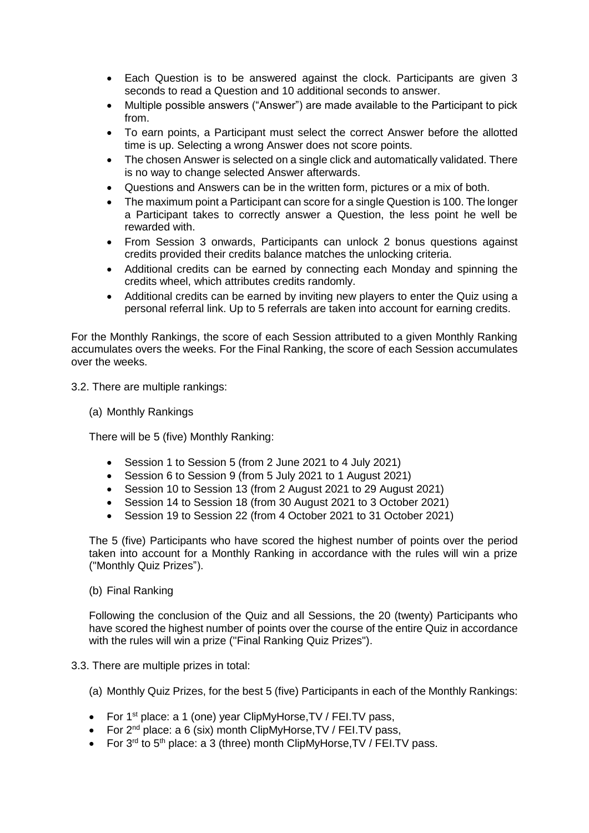- Each Question is to be answered against the clock. Participants are given 3 seconds to read a Question and 10 additional seconds to answer.
- Multiple possible answers ("Answer") are made available to the Participant to pick from.
- To earn points, a Participant must select the correct Answer before the allotted time is up. Selecting a wrong Answer does not score points.
- The chosen Answer is selected on a single click and automatically validated. There is no way to change selected Answer afterwards.
- Questions and Answers can be in the written form, pictures or a mix of both.
- The maximum point a Participant can score for a single Question is 100. The longer a Participant takes to correctly answer a Question, the less point he well be rewarded with.
- From Session 3 onwards, Participants can unlock 2 bonus questions against credits provided their credits balance matches the unlocking criteria.
- Additional credits can be earned by connecting each Monday and spinning the credits wheel, which attributes credits randomly.
- Additional credits can be earned by inviting new players to enter the Quiz using a personal referral link. Up to 5 referrals are taken into account for earning credits.

For the Monthly Rankings, the score of each Session attributed to a given Monthly Ranking accumulates overs the weeks. For the Final Ranking, the score of each Session accumulates over the weeks.

3.2. There are multiple rankings:

(a) Monthly Rankings

There will be 5 (five) Monthly Ranking:

- Session 1 to Session 5 (from 2 June 2021 to 4 July 2021)
- Session 6 to Session 9 (from 5 July 2021 to 1 August 2021)
- Session 10 to Session 13 (from 2 August 2021 to 29 August 2021)
- Session 14 to Session 18 (from 30 August 2021 to 3 October 2021)
- Session 19 to Session 22 (from 4 October 2021 to 31 October 2021)

The 5 (five) Participants who have scored the highest number of points over the period taken into account for a Monthly Ranking in accordance with the rules will win a prize ("Monthly Quiz Prizes").

#### (b) Final Ranking

Following the conclusion of the Quiz and all Sessions, the 20 (twenty) Participants who have scored the highest number of points over the course of the entire Quiz in accordance with the rules will win a prize ("Final Ranking Quiz Prizes").

- 3.3. There are multiple prizes in total:
	- (a) Monthly Quiz Prizes, for the best 5 (five) Participants in each of the Monthly Rankings:
	- For 1<sup>st</sup> place: a 1 (one) year ClipMyHorse, TV / FEI. TV pass,
	- For  $2^{nd}$  place: a 6 (six) month ClipMyHorse, TV / FEI. TV pass,
	- For  $3^{rd}$  to  $5^{th}$  place: a 3 (three) month ClipMyHorse, TV / FEI. TV pass.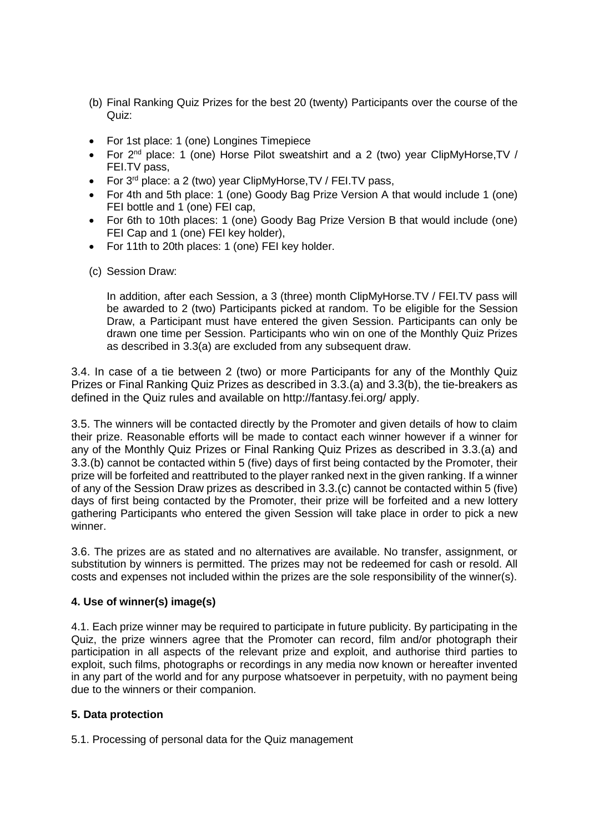- (b) Final Ranking Quiz Prizes for the best 20 (twenty) Participants over the course of the Quiz:
- For 1st place: 1 (one) Longines Timepiece
- For 2<sup>nd</sup> place: 1 (one) Horse Pilot sweatshirt and a 2 (two) year ClipMyHorse, TV / FEI.TV pass,
- For  $3^{rd}$  place: a 2 (two) year ClipMyHorse, TV / FEI. TV pass,
- For 4th and 5th place: 1 (one) Goody Bag Prize Version A that would include 1 (one) FEI bottle and 1 (one) FEI cap,
- For 6th to 10th places: 1 (one) Goody Bag Prize Version B that would include (one) FEI Cap and 1 (one) FEI key holder),
- For 11th to 20th places: 1 (one) FEI key holder.
- (c) Session Draw:

In addition, after each Session, a 3 (three) month ClipMyHorse.TV / FEI.TV pass will be awarded to 2 (two) Participants picked at random. To be eligible for the Session Draw, a Participant must have entered the given Session. Participants can only be drawn one time per Session. Participants who win on one of the Monthly Quiz Prizes as described in 3.3(a) are excluded from any subsequent draw.

3.4. In case of a tie between 2 (two) or more Participants for any of the Monthly Quiz Prizes or Final Ranking Quiz Prizes as described in 3.3.(a) and 3.3(b), the tie-breakers as defined in the Quiz rules and available on http://fantasy.fei.org/ apply.

3.5. The winners will be contacted directly by the Promoter and given details of how to claim their prize. Reasonable efforts will be made to contact each winner however if a winner for any of the Monthly Quiz Prizes or Final Ranking Quiz Prizes as described in 3.3.(a) and 3.3.(b) cannot be contacted within 5 (five) days of first being contacted by the Promoter, their prize will be forfeited and reattributed to the player ranked next in the given ranking. If a winner of any of the Session Draw prizes as described in 3.3.(c) cannot be contacted within 5 (five) days of first being contacted by the Promoter, their prize will be forfeited and a new lottery gathering Participants who entered the given Session will take place in order to pick a new winner.

3.6. The prizes are as stated and no alternatives are available. No transfer, assignment, or substitution by winners is permitted. The prizes may not be redeemed for cash or resold. All costs and expenses not included within the prizes are the sole responsibility of the winner(s).

#### **4. Use of winner(s) image(s)**

4.1. Each prize winner may be required to participate in future publicity. By participating in the Quiz, the prize winners agree that the Promoter can record, film and/or photograph their participation in all aspects of the relevant prize and exploit, and authorise third parties to exploit, such films, photographs or recordings in any media now known or hereafter invented in any part of the world and for any purpose whatsoever in perpetuity, with no payment being due to the winners or their companion.

#### **5. Data protection**

5.1. Processing of personal data for the Quiz management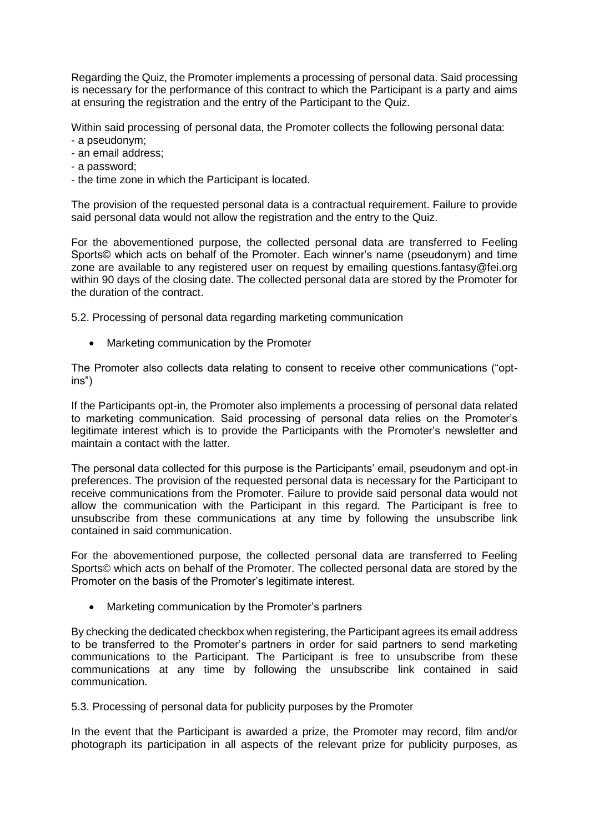Regarding the Quiz, the Promoter implements a processing of personal data. Said processing is necessary for the performance of this contract to which the Participant is a party and aims at ensuring the registration and the entry of the Participant to the Quiz.

Within said processing of personal data, the Promoter collects the following personal data:

- a pseudonym;
- an email address;
- a password;
- the time zone in which the Participant is located.

The provision of the requested personal data is a contractual requirement. Failure to provide said personal data would not allow the registration and the entry to the Quiz.

For the abovementioned purpose, the collected personal data are transferred to Feeling Sports© which acts on behalf of the Promoter. Each winner's name (pseudonym) and time zone are available to any registered user on request by emailing questions.fantasy@fei.org within 90 days of the closing date. The collected personal data are stored by the Promoter for the duration of the contract.

5.2. Processing of personal data regarding marketing communication

• Marketing communication by the Promoter

The Promoter also collects data relating to consent to receive other communications ("optins")

If the Participants opt-in, the Promoter also implements a processing of personal data related to marketing communication. Said processing of personal data relies on the Promoter's legitimate interest which is to provide the Participants with the Promoter's newsletter and maintain a contact with the latter.

The personal data collected for this purpose is the Participants' email, pseudonym and opt-in preferences. The provision of the requested personal data is necessary for the Participant to receive communications from the Promoter. Failure to provide said personal data would not allow the communication with the Participant in this regard. The Participant is free to unsubscribe from these communications at any time by following the unsubscribe link contained in said communication.

For the abovementioned purpose, the collected personal data are transferred to Feeling Sports© which acts on behalf of the Promoter. The collected personal data are stored by the Promoter on the basis of the Promoter's legitimate interest.

Marketing communication by the Promoter's partners

By checking the dedicated checkbox when registering, the Participant agrees its email address to be transferred to the Promoter's partners in order for said partners to send marketing communications to the Participant. The Participant is free to unsubscribe from these communications at any time by following the unsubscribe link contained in said communication.

5.3. Processing of personal data for publicity purposes by the Promoter

In the event that the Participant is awarded a prize, the Promoter may record, film and/or photograph its participation in all aspects of the relevant prize for publicity purposes, as